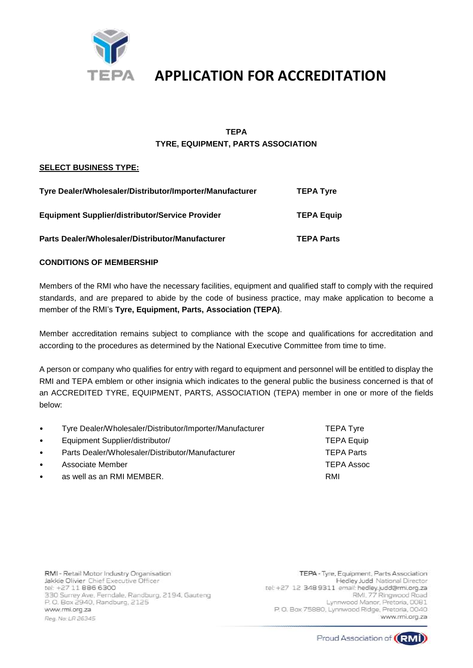

### **TEPA TYRE, EQUIPMENT, PARTS ASSOCIATION**

### **SELECT BUSINESS TYPE:**

| Tyre Dealer/Wholesaler/Distributor/Importer/Manufacturer | <b>TEPA Tyre</b>  |
|----------------------------------------------------------|-------------------|
| <b>Equipment Supplier/distributor/Service Provider</b>   | <b>TEPA Equip</b> |
| Parts Dealer/Wholesaler/Distributor/Manufacturer         | <b>TEPA Parts</b> |

### **CONDITIONS OF MEMBERSHIP**

Members of the RMI who have the necessary facilities, equipment and qualified staff to comply with the required standards, and are prepared to abide by the code of business practice, may make application to become a member of the RMI's **Tyre, Equipment, Parts, Association (TEPA)**.

Member accreditation remains subject to compliance with the scope and qualifications for accreditation and according to the procedures as determined by the National Executive Committee from time to time.

A person or company who qualifies for entry with regard to equipment and personnel will be entitled to display the RMI and TEPA emblem or other insignia which indicates to the general public the business concerned is that of an ACCREDITED TYRE, EQUIPMENT, PARTS, ASSOCIATION (TEPA) member in one or more of the fields below:

| $\bullet$ | Tyre Dealer/Wholesaler/Distributor/Importer/Manufacturer | <b>TEPA Tyre</b>  |
|-----------|----------------------------------------------------------|-------------------|
| $\bullet$ | Equipment Supplier/distributor/                          | <b>TEPA Equip</b> |
| $\bullet$ | Parts Dealer/Wholesaler/Distributor/Manufacturer         | <b>TEPA Parts</b> |
| $\bullet$ | Associate Member                                         | TEPA Assoc        |
| $\bullet$ | as well as an RMI MEMBER.                                | RMI               |

RMI - Retail Motor Industry Organisation Jakkie Olivier Chief Executive Officer tel: +27 11 886 6300 330 Surrey Ave, Ferndale, Randburg, 2194, Gauteng P.O. Box 2940, Randburg, 2125 www.rmi.org.za Reg. No: LR 26345

TEPA - Tyre, Equipment, Parts Association Hedley Judd National Director tel: +27 12 348 9311 email: hedley.judd@rmi.org.za RMI, 77 Ringwood Road Lynnwood Manor, Pretoria, 0081 P.O. Box 75880, Lynnwood Ridge, Pretoria, 0040 www.rmi.org.za

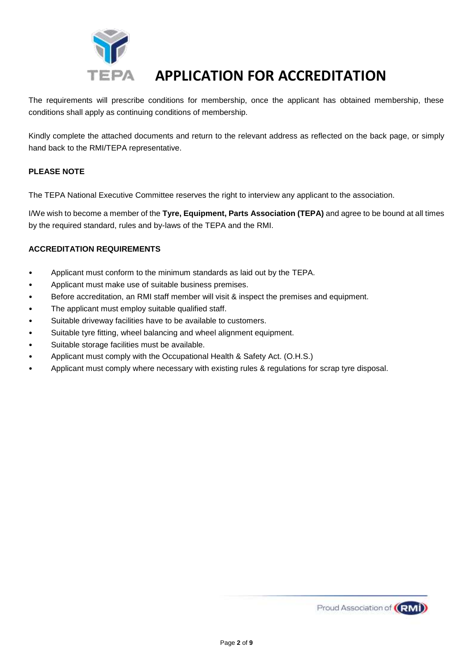

The requirements will prescribe conditions for membership, once the applicant has obtained membership, these conditions shall apply as continuing conditions of membership.

Kindly complete the attached documents and return to the relevant address as reflected on the back page, or simply hand back to the RMI/TEPA representative.

### **PLEASE NOTE**

The TEPA National Executive Committee reserves the right to interview any applicant to the association.

I/We wish to become a member of the **Tyre, Equipment, Parts Association (TEPA)** and agree to be bound at all times by the required standard, rules and by-laws of the TEPA and the RMI.

### **ACCREDITATION REQUIREMENTS**

- Applicant must conform to the minimum standards as laid out by the TEPA.
- Applicant must make use of suitable business premises.
- Before accreditation, an RMI staff member will visit & inspect the premises and equipment.
- The applicant must employ suitable qualified staff.
- Suitable driveway facilities have to be available to customers.
- Suitable tyre fitting, wheel balancing and wheel alignment equipment.
- Suitable storage facilities must be available.
- Applicant must comply with the Occupational Health & Safety Act. (O.H.S.)
- Applicant must comply where necessary with existing rules & regulations for scrap tyre disposal.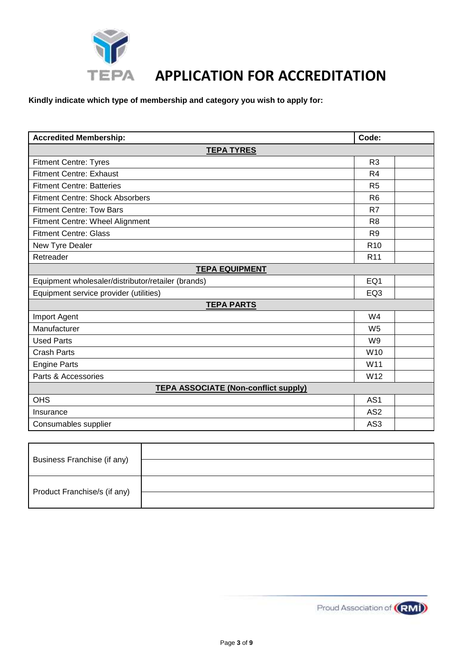

**Kindly indicate which type of membership and category you wish to apply for:** 

| <b>Accredited Membership:</b>                      | Code:           |  |
|----------------------------------------------------|-----------------|--|
| <b>TEPA TYRES</b>                                  |                 |  |
| <b>Fitment Centre: Tyres</b>                       | R <sub>3</sub>  |  |
| <b>Fitment Centre: Exhaust</b>                     | R <sub>4</sub>  |  |
| <b>Fitment Centre: Batteries</b>                   | R <sub>5</sub>  |  |
| <b>Fitment Centre: Shock Absorbers</b>             | R <sub>6</sub>  |  |
| <b>Fitment Centre: Tow Bars</b>                    | R7              |  |
| Fitment Centre: Wheel Alignment                    | R <sub>8</sub>  |  |
| <b>Fitment Centre: Glass</b>                       | R <sub>9</sub>  |  |
| New Tyre Dealer                                    | R <sub>10</sub> |  |
| Retreader                                          | R <sub>11</sub> |  |
| <b>TEPA EQUIPMENT</b>                              |                 |  |
| Equipment wholesaler/distributor/retailer (brands) | EQ1             |  |
| Equipment service provider (utilities)             | EQ <sub>3</sub> |  |
| <b>TEPA PARTS</b>                                  |                 |  |
| Import Agent                                       | W <sub>4</sub>  |  |
| Manufacturer                                       | W <sub>5</sub>  |  |
| <b>Used Parts</b>                                  | W <sub>9</sub>  |  |
| <b>Crash Parts</b>                                 | W <sub>10</sub> |  |
| <b>Engine Parts</b>                                | W11             |  |
| Parts & Accessories                                | W12             |  |
| <b>TEPA ASSOCIATE (Non-conflict supply)</b>        |                 |  |
| <b>OHS</b>                                         | AS <sub>1</sub> |  |
| AS <sub>2</sub><br>Insurance                       |                 |  |
| Consumables supplier                               | AS3             |  |

| Business Franchise (if any)  |  |
|------------------------------|--|
| Product Franchise/s (if any) |  |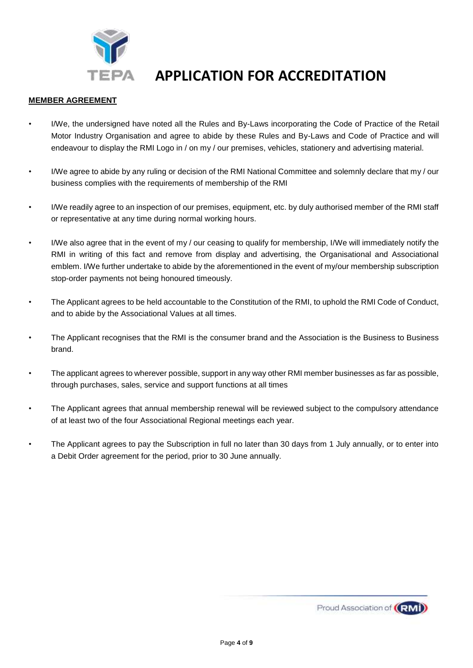

### **MEMBER AGREEMENT**

- I/We, the undersigned have noted all the Rules and By-Laws incorporating the Code of Practice of the Retail Motor Industry Organisation and agree to abide by these Rules and By-Laws and Code of Practice and will endeavour to display the RMI Logo in / on my / our premises, vehicles, stationery and advertising material.
- I/We agree to abide by any ruling or decision of the RMI National Committee and solemnly declare that my / our business complies with the requirements of membership of the RMI
- I/We readily agree to an inspection of our premises, equipment, etc. by duly authorised member of the RMI staff or representative at any time during normal working hours.
- I/We also agree that in the event of my / our ceasing to qualify for membership, I/We will immediately notify the RMI in writing of this fact and remove from display and advertising, the Organisational and Associational emblem. I/We further undertake to abide by the aforementioned in the event of my/our membership subscription stop-order payments not being honoured timeously.
- The Applicant agrees to be held accountable to the Constitution of the RMI, to uphold the RMI Code of Conduct, and to abide by the Associational Values at all times.
- The Applicant recognises that the RMI is the consumer brand and the Association is the Business to Business brand.
- The applicant agrees to wherever possible, support in any way other RMI member businesses as far as possible, through purchases, sales, service and support functions at all times
- The Applicant agrees that annual membership renewal will be reviewed subject to the compulsory attendance of at least two of the four Associational Regional meetings each year.
- The Applicant agrees to pay the Subscription in full no later than 30 days from 1 July annually, or to enter into a Debit Order agreement for the period, prior to 30 June annually.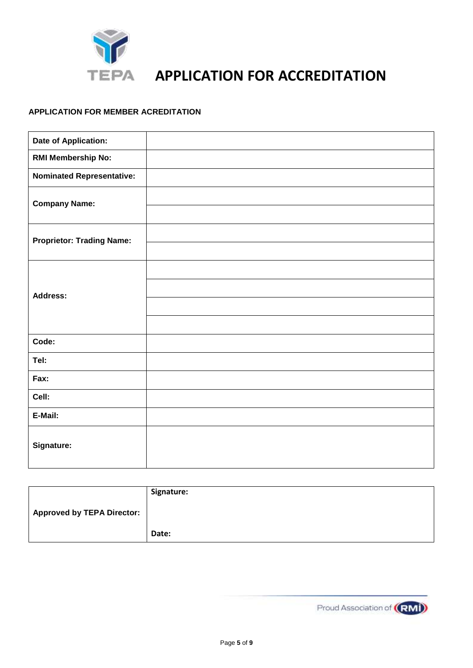

### **APPLICATION FOR MEMBER ACREDITATION**

| <b>Date of Application:</b>      |  |
|----------------------------------|--|
| <b>RMI Membership No:</b>        |  |
| <b>Nominated Representative:</b> |  |
| <b>Company Name:</b>             |  |
|                                  |  |
| <b>Proprietor: Trading Name:</b> |  |
|                                  |  |
|                                  |  |
| <b>Address:</b>                  |  |
|                                  |  |
|                                  |  |
| Code:                            |  |
| Tel:                             |  |
| Fax:                             |  |
| Cell:                            |  |
| E-Mail:                          |  |
| Signature:                       |  |

|                                   | Signature: |
|-----------------------------------|------------|
| <b>Approved by TEPA Director:</b> |            |
|                                   |            |
|                                   | Date:      |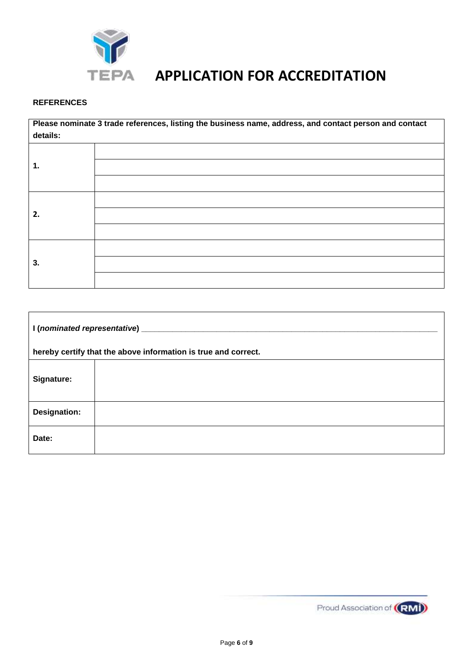

## **REFERENCES**

**Please nominate 3 trade references, listing the business name, address, and contact person and contact details: 1. 2. 3.**

| I (nominated representative) _________                         |  |  |
|----------------------------------------------------------------|--|--|
| hereby certify that the above information is true and correct. |  |  |
| Signature:                                                     |  |  |
| Designation:                                                   |  |  |
| Date:                                                          |  |  |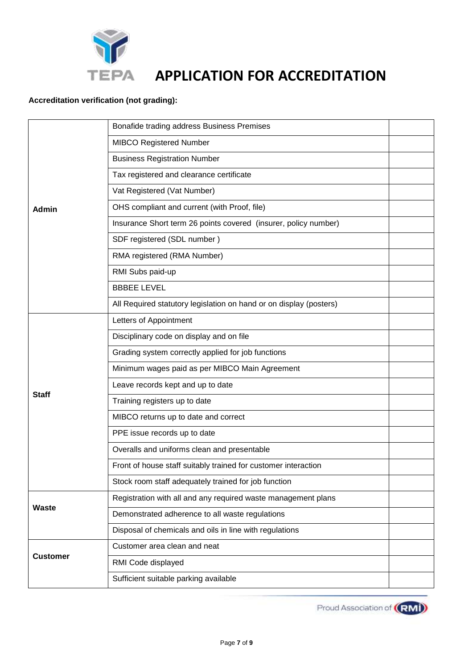

## **Accreditation verification (not grading):**

|                 | Bonafide trading address Business Premises                         |  |
|-----------------|--------------------------------------------------------------------|--|
|                 | <b>MIBCO Registered Number</b>                                     |  |
|                 | <b>Business Registration Number</b>                                |  |
|                 | Tax registered and clearance certificate                           |  |
|                 | Vat Registered (Vat Number)                                        |  |
| <b>Admin</b>    | OHS compliant and current (with Proof, file)                       |  |
|                 | Insurance Short term 26 points covered (insurer, policy number)    |  |
|                 | SDF registered (SDL number)                                        |  |
|                 | RMA registered (RMA Number)                                        |  |
|                 | RMI Subs paid-up                                                   |  |
|                 | <b>BBBEE LEVEL</b>                                                 |  |
|                 | All Required statutory legislation on hand or on display (posters) |  |
|                 | Letters of Appointment                                             |  |
|                 | Disciplinary code on display and on file                           |  |
|                 | Grading system correctly applied for job functions                 |  |
|                 | Minimum wages paid as per MIBCO Main Agreement                     |  |
|                 | Leave records kept and up to date                                  |  |
| <b>Staff</b>    | Training registers up to date                                      |  |
|                 | MIBCO returns up to date and correct                               |  |
|                 | PPE issue records up to date                                       |  |
|                 | Overalls and uniforms clean and presentable                        |  |
|                 | Front of house staff suitably trained for customer interaction     |  |
|                 | Stock room staff adequately trained for job function               |  |
|                 | Registration with all and any required waste management plans      |  |
| Waste           | Demonstrated adherence to all waste regulations                    |  |
|                 | Disposal of chemicals and oils in line with regulations            |  |
|                 | Customer area clean and neat                                       |  |
| <b>Customer</b> | RMI Code displayed                                                 |  |
|                 | Sufficient suitable parking available                              |  |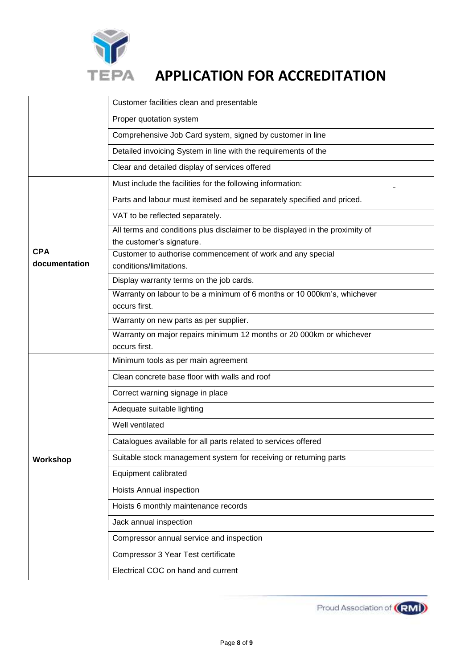

|                             | Customer facilities clean and presentable                                                                 |  |
|-----------------------------|-----------------------------------------------------------------------------------------------------------|--|
|                             | Proper quotation system                                                                                   |  |
|                             | Comprehensive Job Card system, signed by customer in line                                                 |  |
|                             | Detailed invoicing System in line with the requirements of the                                            |  |
|                             | Clear and detailed display of services offered                                                            |  |
|                             | Must include the facilities for the following information:                                                |  |
|                             | Parts and labour must itemised and be separately specified and priced.                                    |  |
|                             | VAT to be reflected separately.                                                                           |  |
|                             | All terms and conditions plus disclaimer to be displayed in the proximity of<br>the customer's signature. |  |
| <b>CPA</b><br>documentation | Customer to authorise commencement of work and any special<br>conditions/limitations.                     |  |
|                             | Display warranty terms on the job cards.                                                                  |  |
|                             | Warranty on labour to be a minimum of 6 months or 10 000km's, whichever<br>occurs first.                  |  |
|                             | Warranty on new parts as per supplier.                                                                    |  |
|                             | Warranty on major repairs minimum 12 months or 20 000km or whichever                                      |  |
|                             | occurs first.                                                                                             |  |
|                             | Minimum tools as per main agreement                                                                       |  |
|                             | Clean concrete base floor with walls and roof                                                             |  |
|                             | Correct warning signage in place                                                                          |  |
|                             | Adequate suitable lighting                                                                                |  |
|                             | Well ventilated                                                                                           |  |
|                             | Catalogues available for all parts related to services offered                                            |  |
| Workshop                    | Suitable stock management system for receiving or returning parts                                         |  |
|                             | Equipment calibrated                                                                                      |  |
|                             | Hoists Annual inspection                                                                                  |  |
|                             | Hoists 6 monthly maintenance records                                                                      |  |
|                             | Jack annual inspection                                                                                    |  |
|                             | Compressor annual service and inspection                                                                  |  |
|                             | Compressor 3 Year Test certificate                                                                        |  |
|                             | Electrical COC on hand and current                                                                        |  |